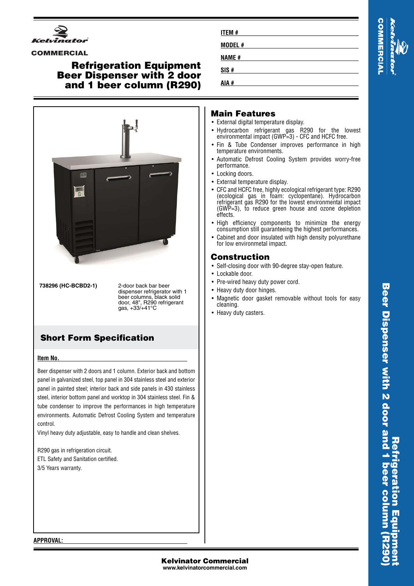

#### **COMMERCIAL**

### **Refrigeration Equipment Beer Dispenser with 2 door and 1 beer column (R290)**



**738296 (HC-BCBD2-1)** 2-door back bar beer

dispenser refrigerator with 1 beer columns, black solid door, 48", R290 refrigerant gas, +33/+41°C

# **Short Form Specification**

#### **Item No.**

Beer dispenser with 2 doors and 1 column. Exterior back and bottom panel in galvanized steel, top panel in 304 stainless steel and exterior panel in painted steel; interior back and side panels in 430 stainless steel, interior bottom panel and worktop in 304 stainless steel. Fin & tube condenser to improve the performances in high temperature environments. Automatic Defrost Cooling System and temperature control.

Vinyl heavy duty adjustable, easy to handle and clean shelves.

R290 gas in refrigeration circuit. ETL Safety and Sanitation certified. 3/5 Years warranty.

| <b>ITEM#</b> |  |
|--------------|--|
| MODEL#       |  |
| <b>NAME#</b> |  |
| SIS#         |  |
| AIA #        |  |

# **OMMERCIAL**

#### **Main Features**

- External digital temperature display.
- Hydrocarbon refrigerant gas R290 for the lowest environmental impact (GWP=3) - CFC and HCFC free.
- • Fin & Tube Condenser improves performance in high temperature environments.
- Automatic Defrost Cooling System provides worry-free performance.
- Locking doors.
- External temperature display.
- • CFC and HCFC free, highly ecological refrigerant type: R290 (ecological gas in foam: cyclopentane). Hydrocarbon refrigerant gas R290 for the lowest environmental impact (GWP=3), to reduce green house and ozone depletion effects.
- High efficiency components to minimize the energy consumption still guaranteeing the highest performances.
- Cabinet and door insulated with high density polyurethane for low environmetal impact.

#### **Construction**

- Self-closing door with 90-degree stay-open feature.
- Lockable door.
- Pre-wired heavy duty power cord.
- Heavy duty door hinges.
- Magnetic door gasket removable without tools for easy cleaning.
- Heavy duty casters.

Beer Dispenser with 2 door and 1 beer column (R29 **Beer Dispenser with 2 door and 1 beer column (R290) Refrigeration Equipment** geration Equ

**APPROVAL:**